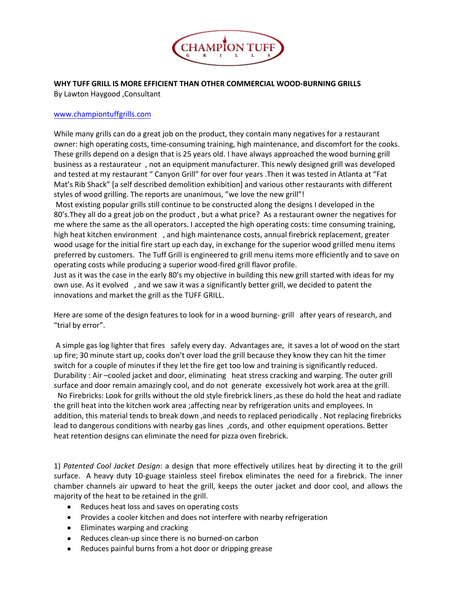

**WHY TUFF GRILL IS MORE EFFICIENT THAN OTHER COMMERCIAL WOOD-BURNING GRILLS** 

[By Lawton Haygoo](http://www.tuffgrill.com/)d ,Consultant

## www.championtuffgrills.com

While many grills can do a great job on the product, they contain many negatives for a restaurant owner: high operating costs, time-consuming training, high maintenance, and discomfort for the cooks. These grills depend on a design that is 25 years old. I have always approached the wood burning grill business as a restaurateur , not an equipment manufacturer. This newly designed grill was developed and tested at my restaurant " Canyon Grill" for over four years .Then it was tested in Atlanta at "Fat Mat's Rib Shack" [a self described demolition exhibition] and various other restaurants with different styles of wood grilling. The reports are unanimous, "we love the new grill"!

Most existing popular grills still continue to be constructed along the designs I developed in the 80's.They all do a great job on the product , but a what price? As a restaurant owner the negatives for me where the same as the all operators. I accepted the high operating costs: time consuming training, high heat kitchen environment , and high maintenance costs, annual firebrick replacement, greater wood usage for the initial fire start up each day, in exchange for the superior wood grilled menu items preferred by customers. The Tuff Grill is engineered to grill menu items more efficiently and to save on operating costs while producing a superior wood-fired grill flavor profile.

Just as it was the case in the early 80's my objective in building this new grill started with ideas for my own use. As it evolved , and we saw it was a significantly better grill, we decided to patent the innovations and market the grill as the TUFF GRILL.

Here are some of the design features to look for in a wood burning- grill after years of research, and "trial by error".

A simple gas log lighter that fires safely every day. Advantages are, it saves a lot of wood on the start up fire; 30 minute start up, cooks don't over load the grill because they know they can hit the timer switch for a couple of minutes if they let the fire get too low and training is significantly reduced. Durability : Air –cooled jacket and door, eliminating heat stress cracking and warping. The outer grill surface and door remain amazingly cool, and do not generate excessively hot work area at the grill. No Firebricks: Look for grills without the old style firebrick liners ,as these do hold the heat and radiate the grill heat into the kitchen work area ;affecting near by refrigeration units and employees. In addition, this material tends to break down ,and needs to replaced periodically . Not replacing firebricks lead to dangerous conditions with nearby gas lines , cords, and other equipment operations. Better heat retention designs can eliminate the need for pizza oven firebrick.

1) *Patented Cool Jacket Design*: a design that more effectively utilizes heat by directing it to the grill surface. A heavy duty 10-guage stainless steel firebox eliminates the need for a firebrick. The inner chamber channels air upward to heat the grill, keeps the outer jacket and door cool, and allows the majority of the heat to be retained in the grill.

- Reduces heat loss and saves on operating costs
- $\bullet$ Provides a cooler kitchen and does not interfere with nearby refrigeration
- Eliminates warping and cracking
- Reduces clean-up since there is no burned-on carbon
- Reduces painful burns from a hot door or dripping grease